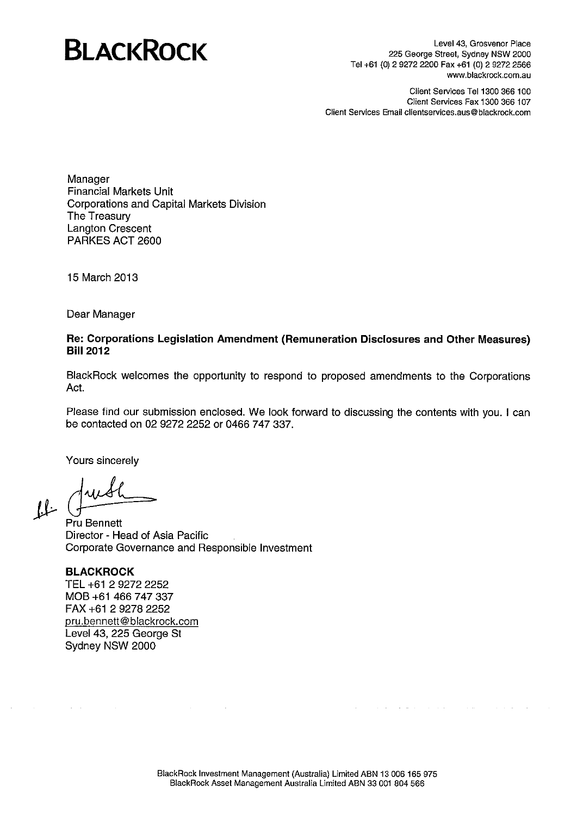# **BLACKROCK**

Level 43, Grosvenor Place 225 George Street, Sydney NSW 2000 Tel +61 (0) 2 9272 2200 Fax +61 (0) 2 9272 2566 www.blackrock.com.au

Client Services Tel 1300 366 100 Client Services Fax 1300 366 107 Client Services Email clientservices.aus@blackrock.com

Manager **Financial Markets Unit Corporations and Capital Markets Division** The Treasury **Langton Crescent** PARKES ACT 2600

15 March 2013

Dear Manager

# Re: Corporations Legislation Amendment (Remuneration Disclosures and Other Measures) **Bill 2012**

BlackRock welcomes the opportunity to respond to proposed amendments to the Corporations Act.

Please find our submission enclosed. We look forward to discussing the contents with you. I can be contacted on 02 9272 2252 or 0466 747 337.

Yours sincerely

 $\mu$  (

Pru Bennett Director - Head of Asia Pacific Corporate Governance and Responsible Investment

#### **BLACKROCK**

 $\Delta \sim 10^7$ 

TEL +61 2 9272 2252 MOB +61 466 747 337 FAX +61 2 9278 2252 pru.bennett@blackrock.com Level 43, 225 George St Sydney NSW 2000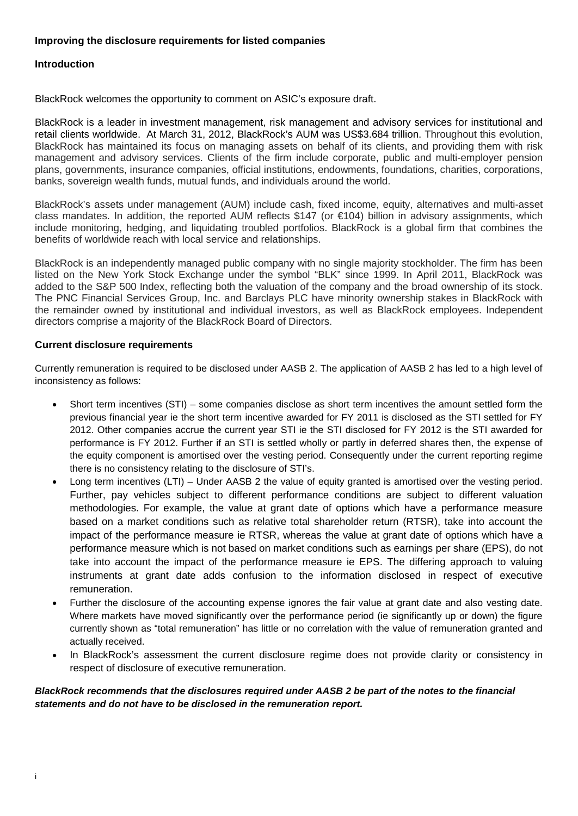# **Improving the disclosure requirements for listed companies**

#### **Introduction**

BlackRock welcomes the opportunity to comment on ASIC's exposure draft.

BlackRock is a leader in investment management, risk management and advisory services for institutional and retail clients worldwide. At March 31, 2012, BlackRock's AUM was US\$3.684 trillion. Throughout this evolution, BlackRock has maintained its focus on managing assets on behalf of its clients, and providing them with risk management and advisory services. Clients of the firm include corporate, public and multi-employer pension plans, governments, insurance companies, official institutions, endowments, foundations, charities, corporations, banks, sovereign wealth funds, mutual funds, and individuals around the world.

BlackRock's assets under management (AUM) include cash, fixed income, equity, alternatives and multi-asset class mandates. In addition, the reported AUM reflects \$147 (or  $\epsilon$ 104) billion in advisory assignments, which include monitoring, hedging, and liquidating troubled portfolios. BlackRock is a global firm that combines the benefits of worldwide reach with local service and relationships.

BlackRock is an independently managed public company with no single majority stockholder. The firm has been listed on the New York Stock Exchange under the symbol "BLK" since 1999. In April 2011, BlackRock was added to the S&P 500 Index, reflecting both the valuation of the company and the broad ownership of its stock. The PNC Financial Services Group, Inc. and Barclays PLC have minority ownership stakes in BlackRock with the remainder owned by institutional and individual investors, as well as BlackRock employees. Independent directors comprise a majority of the BlackRock Board of Directors.

#### **Current disclosure requirements**

Currently remuneration is required to be disclosed under AASB 2. The application of AASB 2 has led to a high level of inconsistency as follows:

- Short term incentives (STI) some companies disclose as short term incentives the amount settled form the previous financial year ie the short term incentive awarded for FY 2011 is disclosed as the STI settled for FY 2012. Other companies accrue the current year STI ie the STI disclosed for FY 2012 is the STI awarded for performance is FY 2012. Further if an STI is settled wholly or partly in deferred shares then, the expense of the equity component is amortised over the vesting period. Consequently under the current reporting regime there is no consistency relating to the disclosure of STI's.
- Long term incentives (LTI) Under AASB 2 the value of equity granted is amortised over the vesting period. Further, pay vehicles subject to different performance conditions are subject to different valuation methodologies. For example, the value at grant date of options which have a performance measure based on a market conditions such as relative total shareholder return (RTSR), take into account the impact of the performance measure ie RTSR, whereas the value at grant date of options which have a performance measure which is not based on market conditions such as earnings per share (EPS), do not take into account the impact of the performance measure ie EPS. The differing approach to valuing instruments at grant date adds confusion to the information disclosed in respect of executive remuneration.
- Further the disclosure of the accounting expense ignores the fair value at grant date and also vesting date. Where markets have moved significantly over the performance period (ie significantly up or down) the figure currently shown as "total remuneration" has little or no correlation with the value of remuneration granted and actually received.
- In BlackRock's assessment the current disclosure regime does not provide clarity or consistency in respect of disclosure of executive remuneration.

#### <span id="page-1-0"></span>*BlackRock recommends that the disclosures required under AASB 2 be part of the notes to the financial statements and do not have to be disclosed in the remuneration report.*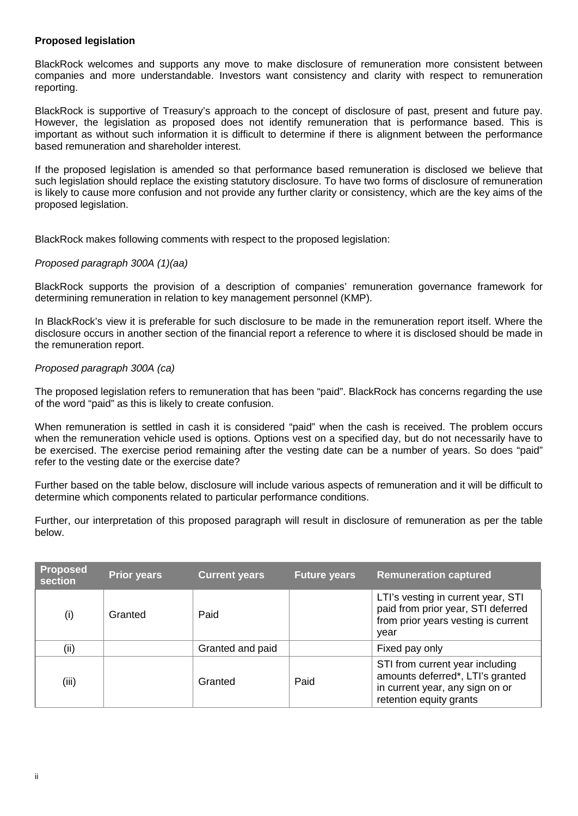# **Proposed legislation**

BlackRock welcomes and supports any move to make disclosure of remuneration more consistent between companies and more understandable. Investors want consistency and clarity with respect to remuneration reporting.

BlackRock is supportive of Treasury's approach to the concept of disclosure of past, present and future pay. However, the legislation as proposed does not identify remuneration that is performance based. This is important as without such information it is difficult to determine if there is alignment between the performance based remuneration and shareholder interest.

If the proposed legislation is amended so that performance based remuneration is disclosed we believe that such legislation should replace the existing statutory disclosure. To have two forms of disclosure of remuneration is likely to cause more confusion and not provide any further clarity or consistency, which are the key aims of the proposed legislation.

BlackRock makes following comments with respect to the proposed legislation:

#### *Proposed paragraph 300A (1)(aa)*

BlackRock supports the provision of a description of companies' remuneration governance framework for determining remuneration in relation to key management personnel (KMP).

In BlackRock's view it is preferable for such disclosure to be made in the remuneration report itself. Where the disclosure occurs in another section of the financial report a reference to where it is disclosed should be made in the remuneration report.

#### *Proposed paragraph 300A (ca)*

The proposed legislation refers to remuneration that has been "paid". BlackRock has concerns regarding the use of the word "paid" as this is likely to create confusion.

When remuneration is settled in cash it is considered "paid" when the cash is received. The problem occurs when the remuneration vehicle used is options. Options vest on a specified day, but do not necessarily have to be exercised. The exercise period remaining after the vesting date can be a number of years. So does "paid" refer to the vesting date or the exercise date?

Further based on the table below, disclosure will include various aspects of remuneration and it will be difficult to determine which components related to particular performance conditions.

Further, our interpretation of this proposed paragraph will result in disclosure of remuneration as per the table below.

| <b>Proposed</b><br>section | <b>Prior years</b> | <b>Current years</b> | <b>Future years</b> | <b>Remuneration captured</b>                                                                                                      |
|----------------------------|--------------------|----------------------|---------------------|-----------------------------------------------------------------------------------------------------------------------------------|
| (i)                        | Granted            | Paid                 |                     | LTI's vesting in current year, STI<br>paid from prior year, STI deferred<br>from prior years vesting is current<br>year           |
| (ii)                       |                    | Granted and paid     |                     | Fixed pay only                                                                                                                    |
| (iii)                      |                    | Granted              | Paid                | STI from current year including<br>amounts deferred*, LTI's granted<br>in current year, any sign on or<br>retention equity grants |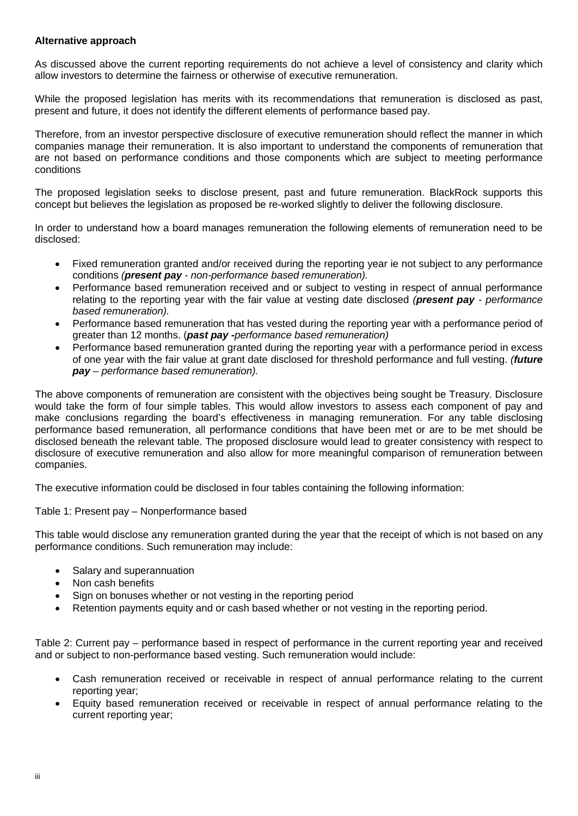#### **Alternative approach**

As discussed above the current reporting requirements do not achieve a level of consistency and clarity which allow investors to determine the fairness or otherwise of executive remuneration.

While the proposed legislation has merits with its recommendations that remuneration is disclosed as past, present and future, it does not identify the different elements of performance based pay.

Therefore, from an investor perspective disclosure of executive remuneration should reflect the manner in which companies manage their remuneration. It is also important to understand the components of remuneration that are not based on performance conditions and those components which are subject to meeting performance conditions

The proposed legislation seeks to disclose present, past and future remuneration. BlackRock supports this concept but believes the legislation as proposed be re-worked slightly to deliver the following disclosure.

In order to understand how a board manages remuneration the following elements of remuneration need to be disclosed:

- Fixed remuneration granted and/or received during the reporting year ie not subject to any performance conditions *(present pay - non-performance based remuneration).*
- Performance based remuneration received and or subject to vesting in respect of annual performance relating to the reporting year with the fair value at vesting date disclosed *(present pay - performance based remuneration).*
- Performance based remuneration that has vested during the reporting year with a performance period of greater than 12 months. (*past pay -performance based remuneration)*
- Performance based remuneration granted during the reporting year with a performance period in excess of one year with the fair value at grant date disclosed for threshold performance and full vesting. *(future pay – performance based remuneration).*

The above components of remuneration are consistent with the objectives being sought be Treasury. Disclosure would take the form of four simple tables. This would allow investors to assess each component of pay and make conclusions regarding the board's effectiveness in managing remuneration. For any table disclosing performance based remuneration, all performance conditions that have been met or are to be met should be disclosed beneath the relevant table. The proposed disclosure would lead to greater consistency with respect to disclosure of executive remuneration and also allow for more meaningful comparison of remuneration between companies.

The executive information could be disclosed in four tables containing the following information:

#### Table 1: Present pay – Nonperformance based

This table would disclose any remuneration granted during the year that the receipt of which is not based on any performance conditions. Such remuneration may include:

- Salary and superannuation
- Non cash benefits
- Sign on bonuses whether or not vesting in the reporting period
- Retention payments equity and or cash based whether or not vesting in the reporting period.

Table 2: Current pay – performance based in respect of performance in the current reporting year and received and or subject to non-performance based vesting. Such remuneration would include:

- Cash remuneration received or receivable in respect of annual performance relating to the current reporting year;
- Equity based remuneration received or receivable in respect of annual performance relating to the current reporting year;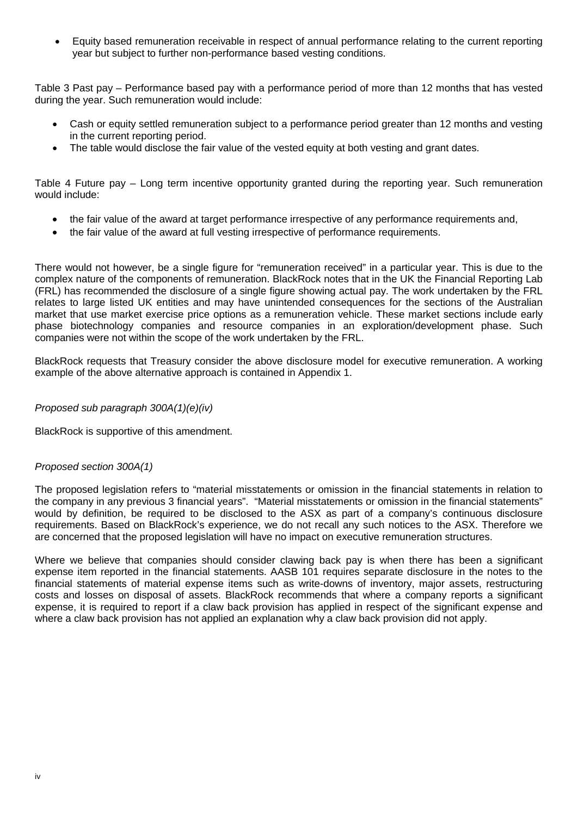• Equity based remuneration receivable in respect of annual performance relating to the current reporting year but subject to further non-performance based vesting conditions.

Table 3 Past pay – Performance based pay with a performance period of more than 12 months that has vested during the year. Such remuneration would include:

- Cash or equity settled remuneration subject to a performance period greater than 12 months and vesting in the current reporting period.
- The table would disclose the fair value of the vested equity at both vesting and grant dates.

Table 4 Future pay – Long term incentive opportunity granted during the reporting year. Such remuneration would include:

- the fair value of the award at target performance irrespective of any performance requirements and,
- the fair value of the award at full vesting irrespective of performance requirements.

There would not however, be a single figure for "remuneration received" in a particular year. This is due to the complex nature of the components of remuneration. BlackRock notes that in the UK the Financial Reporting Lab (FRL) has recommended the disclosure of a single figure showing actual pay. The work undertaken by the FRL relates to large listed UK entities and may have unintended consequences for the sections of the Australian market that use market exercise price options as a remuneration vehicle. These market sections include early phase biotechnology companies and resource companies in an exploration/development phase. Such companies were not within the scope of the work undertaken by the FRL.

BlackRock requests that Treasury consider the above disclosure model for executive remuneration. A working example of the above alternative approach is contained in Appendix 1.

## *Proposed sub paragraph 300A(1)(e)(iv)*

BlackRock is supportive of this amendment.

#### *Proposed section 300A(1)*

The proposed legislation refers to "material misstatements or omission in the financial statements in relation to the company in any previous 3 financial years". "Material misstatements or omission in the financial statements" would by definition, be required to be disclosed to the ASX as part of a company's continuous disclosure requirements. Based on BlackRock's experience, we do not recall any such notices to the ASX. Therefore we are concerned that the proposed legislation will have no impact on executive remuneration structures.

Where we believe that companies should consider clawing back pay is when there has been a significant expense item reported in the financial statements. AASB 101 requires separate disclosure in the notes to the financial statements of material expense items such as write-downs of inventory, major assets, restructuring costs and losses on disposal of assets. BlackRock recommends that where a company reports a significant expense, it is required to report if a claw back provision has applied in respect of the significant expense and where a claw back provision has not applied an explanation why a claw back provision did not apply.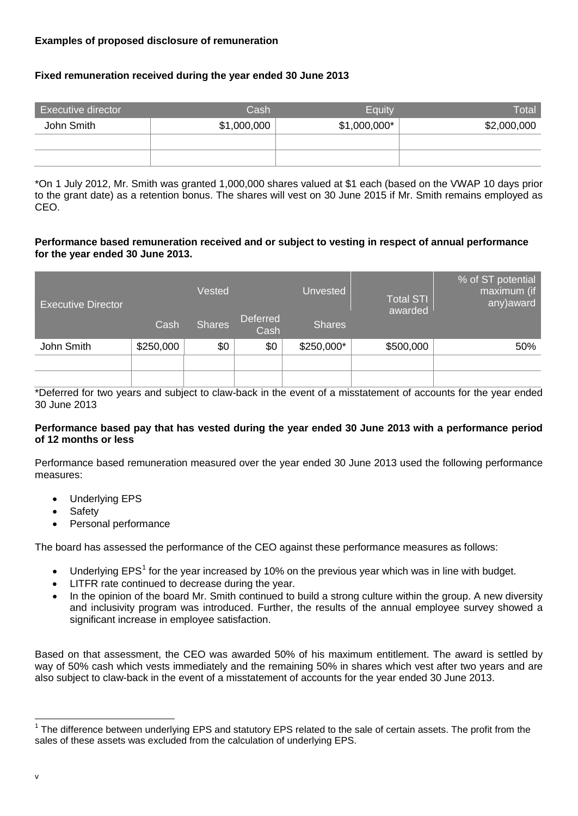# **Examples of proposed disclosure of remuneration**

# **Fixed remuneration received during the year ended 30 June 2013**

| Executive director | Cash        | Equity        | Total       |
|--------------------|-------------|---------------|-------------|
| John Smith         | \$1,000,000 | $$1,000,000*$ | \$2,000,000 |
|                    |             |               |             |
|                    |             |               |             |

\*On 1 July 2012, Mr. Smith was granted 1,000,000 shares valued at \$1 each (based on the VWAP 10 days prior to the grant date) as a retention bonus. The shares will vest on 30 June 2015 if Mr. Smith remains employed as CEO.

#### **Performance based remuneration received and or subject to vesting in respect of annual performance for the year ended 30 June 2013.**

| <b>Executive Director</b> |           | Vested        | Unvested                |               | <b>Total STI</b><br>awarded | % of ST potential<br>maximum (if<br>any) award |  |
|---------------------------|-----------|---------------|-------------------------|---------------|-----------------------------|------------------------------------------------|--|
|                           | Cash      | <b>Shares</b> | <b>Deferred</b><br>Cash | <b>Shares</b> |                             |                                                |  |
| John Smith                | \$250,000 | \$0           | \$0                     | \$250,000*    | \$500,000                   | 50%                                            |  |
|                           |           |               |                         |               |                             |                                                |  |
|                           |           |               |                         |               |                             |                                                |  |

\*Deferred for two years and subject to claw-back in the event of a misstatement of accounts for the year ended 30 June 2013

#### **Performance based pay that has vested during the year ended 30 June 2013 with a performance period of 12 months or less**

Performance based remuneration measured over the year ended 30 June 2013 used the following performance measures:

- Underlying EPS
- **Safety**
- Personal performance

The board has assessed the performance of the CEO against these performance measures as follows:

- Underlying  $EPS<sup>1</sup>$  $EPS<sup>1</sup>$  $EPS<sup>1</sup>$  for the year increased by 10% on the previous year which was in line with budget.
- LITFR rate continued to decrease during the year.
- In the opinion of the board Mr. Smith continued to build a strong culture within the group. A new diversity and inclusivity program was introduced. Further, the results of the annual employee survey showed a significant increase in employee satisfaction.

Based on that assessment, the CEO was awarded 50% of his maximum entitlement. The award is settled by way of 50% cash which vests immediately and the remaining 50% in shares which vest after two years and are also subject to claw-back in the event of a misstatement of accounts for the year ended 30 June 2013.

<span id="page-5-0"></span><sup>&</sup>lt;sup>1</sup> The difference between underlying EPS and statutory EPS related to the sale of certain assets. The profit from the sales of these assets was excluded from the calculation of underlying EPS.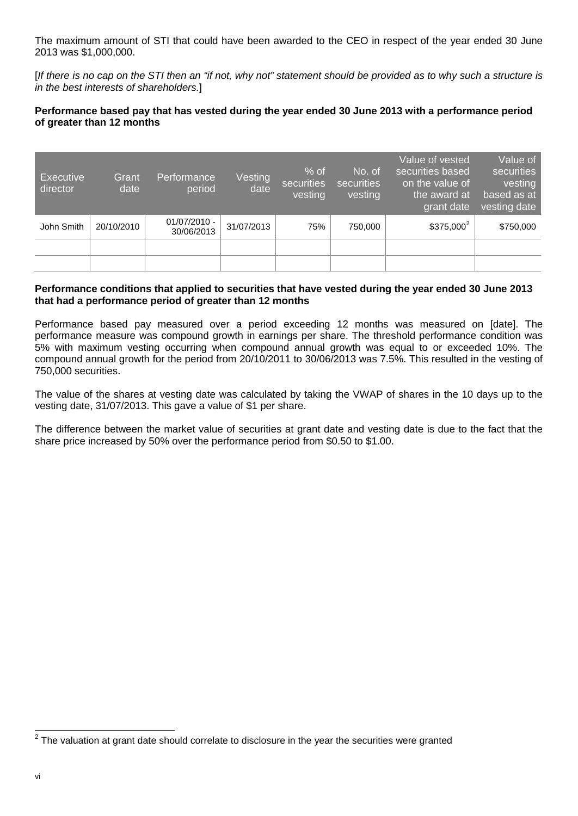The maximum amount of STI that could have been awarded to the CEO in respect of the year ended 30 June 2013 was \$1,000,000.

[*If there is no cap on the STI then an "if not, why not" statement should be provided as to why such a structure is in the best interests of shareholders.*]

# **Performance based pay that has vested during the year ended 30 June 2013 with a performance period of greater than 12 months**

| <b>Executive</b><br>director | Grant<br>date | Performance<br>period        | Vesting<br>date | $%$ of<br>securities<br>vesting | No. of<br>securities<br>vesting | Value of vested<br>securities based<br>on the value of<br>the award at<br>grant date | Value of<br>securities<br>vesting<br>based as at<br>vesting date |
|------------------------------|---------------|------------------------------|-----------------|---------------------------------|---------------------------------|--------------------------------------------------------------------------------------|------------------------------------------------------------------|
| John Smith                   | 20/10/2010    | $01/07/2010 -$<br>30/06/2013 | 31/07/2013      | 75%                             | 750,000                         | $$375,000^2$                                                                         | \$750,000                                                        |
|                              |               |                              |                 |                                 |                                 |                                                                                      |                                                                  |
|                              |               |                              |                 |                                 |                                 |                                                                                      |                                                                  |

## **Performance conditions that applied to securities that have vested during the year ended 30 June 2013 that had a performance period of greater than 12 months**

Performance based pay measured over a period exceeding 12 months was measured on [date]. The performance measure was compound growth in earnings per share. The threshold performance condition was 5% with maximum vesting occurring when compound annual growth was equal to or exceeded 10%. The compound annual growth for the period from 20/10/2011 to 30/06/2013 was 7.5%. This resulted in the vesting of 750,000 securities.

The value of the shares at vesting date was calculated by taking the VWAP of shares in the 10 days up to the vesting date, 31/07/2013. This gave a value of \$1 per share.

The difference between the market value of securities at grant date and vesting date is due to the fact that the share price increased by 50% over the performance period from \$0.50 to \$1.00.

 $2$  The valuation at grant date should correlate to disclosure in the year the securities were granted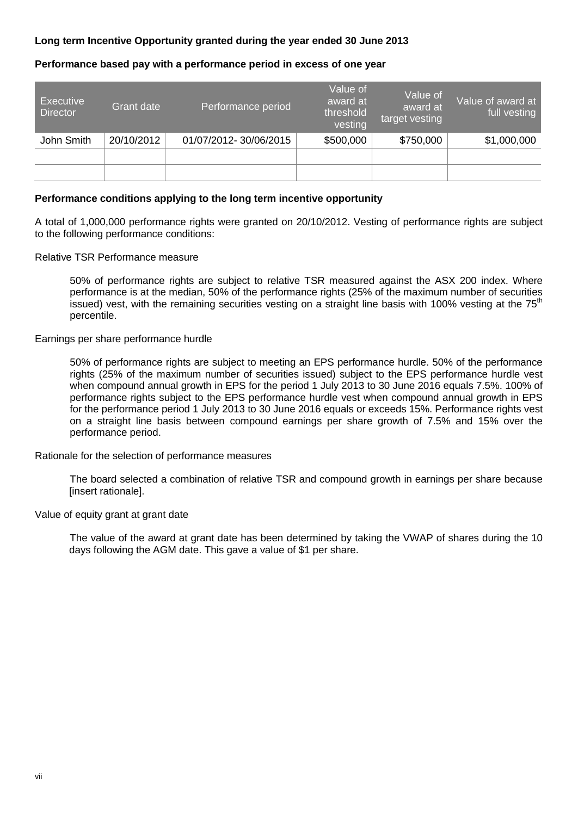# **Long term Incentive Opportunity granted during the year ended 30 June 2013**

# **Performance based pay with a performance period in excess of one year**

| <b>Executive</b><br><b>Director</b> | Grant date | Performance period    | Value of<br>award at<br>threshold<br>vesting | Value of<br>award at<br>target vesting | Value of award at,<br>full vesting |
|-------------------------------------|------------|-----------------------|----------------------------------------------|----------------------------------------|------------------------------------|
| John Smith                          | 20/10/2012 | 01/07/2012-30/06/2015 | \$500,000                                    | \$750,000                              | \$1,000,000                        |
|                                     |            |                       |                                              |                                        |                                    |
|                                     |            |                       |                                              |                                        |                                    |

#### **Performance conditions applying to the long term incentive opportunity**

A total of 1,000,000 performance rights were granted on 20/10/2012. Vesting of performance rights are subject to the following performance conditions:

Relative TSR Performance measure

50% of performance rights are subject to relative TSR measured against the ASX 200 index. Where performance is at the median, 50% of the performance rights (25% of the maximum number of securities issued) vest, with the remaining securities vesting on a straight line basis with 100% vesting at the 75<sup>th</sup> percentile.

#### Earnings per share performance hurdle

50% of performance rights are subject to meeting an EPS performance hurdle. 50% of the performance rights (25% of the maximum number of securities issued) subject to the EPS performance hurdle vest when compound annual growth in EPS for the period 1 July 2013 to 30 June 2016 equals 7.5%. 100% of performance rights subject to the EPS performance hurdle vest when compound annual growth in EPS for the performance period 1 July 2013 to 30 June 2016 equals or exceeds 15%. Performance rights vest on a straight line basis between compound earnings per share growth of 7.5% and 15% over the performance period.

Rationale for the selection of performance measures

The board selected a combination of relative TSR and compound growth in earnings per share because [insert rationale].

Value of equity grant at grant date

The value of the award at grant date has been determined by taking the VWAP of shares during the 10 days following the AGM date. This gave a value of \$1 per share.